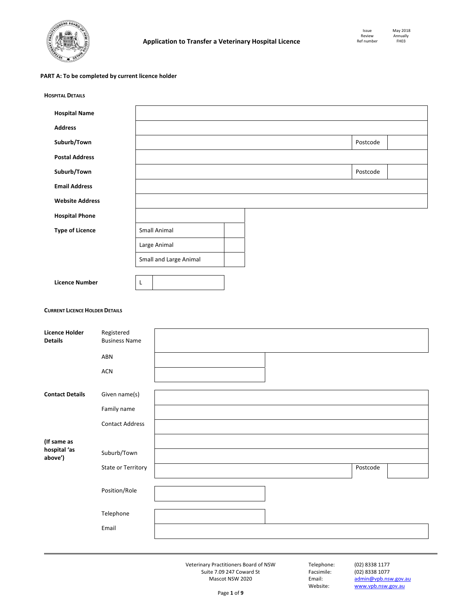

## **PART A: To be completed by current licence holder**

| <b>HOSPITAL DETAILS</b>                 |                                    |   |                        |  |          |  |
|-----------------------------------------|------------------------------------|---|------------------------|--|----------|--|
| <b>Hospital Name</b>                    |                                    |   |                        |  |          |  |
| <b>Address</b>                          |                                    |   |                        |  |          |  |
| Suburb/Town                             |                                    |   |                        |  | Postcode |  |
| <b>Postal Address</b>                   |                                    |   |                        |  |          |  |
| Suburb/Town                             |                                    |   |                        |  | Postcode |  |
| <b>Email Address</b>                    |                                    |   |                        |  |          |  |
| <b>Website Address</b>                  |                                    |   |                        |  |          |  |
| <b>Hospital Phone</b>                   |                                    |   |                        |  |          |  |
| <b>Type of Licence</b>                  |                                    |   | Small Animal           |  |          |  |
|                                         |                                    |   | Large Animal           |  |          |  |
|                                         |                                    |   | Small and Large Animal |  |          |  |
| <b>Licence Number</b>                   |                                    | L |                        |  |          |  |
|                                         |                                    |   |                        |  |          |  |
| <b>CURRENT LICENCE HOLDER DETAILS</b>   |                                    |   |                        |  |          |  |
|                                         |                                    |   |                        |  |          |  |
| <b>Licence Holder</b><br><b>Details</b> | Registered<br><b>Business Name</b> |   |                        |  |          |  |
|                                         | ABN                                |   |                        |  |          |  |
|                                         | ACN                                |   |                        |  |          |  |
| <b>Contact Details</b>                  | Given name(s)                      |   |                        |  |          |  |
|                                         | Family name                        |   |                        |  |          |  |
|                                         | <b>Contact Address</b>             |   |                        |  |          |  |
| (If same as                             |                                    |   |                        |  |          |  |
| hospital 'as<br>above')                 | Suburb/Town                        |   |                        |  |          |  |
|                                         | State or Territory                 |   |                        |  | Postcode |  |
|                                         |                                    |   |                        |  |          |  |
|                                         | Position/Role                      |   |                        |  |          |  |
|                                         | Telephone                          |   |                        |  |          |  |
|                                         | Email                              |   |                        |  |          |  |
|                                         |                                    |   |                        |  |          |  |

Email: admin@vpb.nsw.gov.au<br>Website: www.vpb.nsw.gov.au www.vpb.nsw.gov.au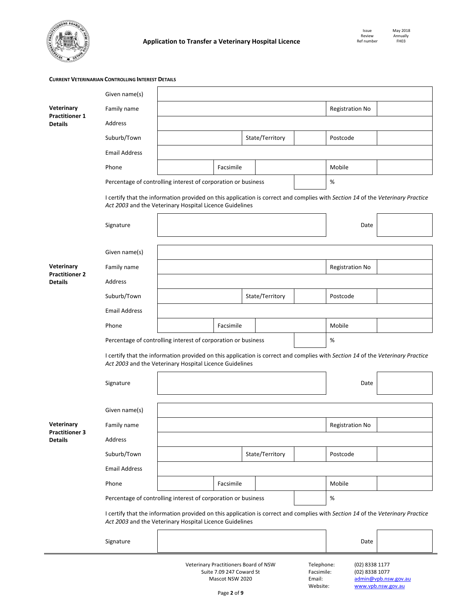

**CURRENT VETERINARIAN CONTROLLING INTEREST DETAILS**

|                                         | Given name(s)                                                                                                                                                                             |                                                                                                                                                                                           |                        |                 |                        |                 |  |  |  |  |  |
|-----------------------------------------|-------------------------------------------------------------------------------------------------------------------------------------------------------------------------------------------|-------------------------------------------------------------------------------------------------------------------------------------------------------------------------------------------|------------------------|-----------------|------------------------|-----------------|--|--|--|--|--|
| Veterinary                              | Family name                                                                                                                                                                               |                                                                                                                                                                                           |                        |                 |                        | Registration No |  |  |  |  |  |
| <b>Practitioner 1</b><br><b>Details</b> | Address                                                                                                                                                                                   |                                                                                                                                                                                           |                        |                 |                        |                 |  |  |  |  |  |
|                                         | Suburb/Town                                                                                                                                                                               |                                                                                                                                                                                           |                        | State/Territory |                        | Postcode        |  |  |  |  |  |
|                                         | <b>Email Address</b>                                                                                                                                                                      |                                                                                                                                                                                           |                        |                 |                        |                 |  |  |  |  |  |
|                                         | Phone                                                                                                                                                                                     |                                                                                                                                                                                           | Facsimile              | Mobile          |                        |                 |  |  |  |  |  |
|                                         |                                                                                                                                                                                           | Percentage of controlling interest of corporation or business                                                                                                                             |                        |                 |                        | $\%$            |  |  |  |  |  |
|                                         |                                                                                                                                                                                           | I certify that the information provided on this application is correct and complies with Section 14 of the Veterinary Practice<br>Act 2003 and the Veterinary Hospital Licence Guidelines |                        |                 |                        |                 |  |  |  |  |  |
|                                         | Signature                                                                                                                                                                                 |                                                                                                                                                                                           |                        |                 |                        | Date            |  |  |  |  |  |
|                                         | Given name(s)                                                                                                                                                                             |                                                                                                                                                                                           |                        |                 |                        |                 |  |  |  |  |  |
| Veterinary<br><b>Practitioner 2</b>     | Family name                                                                                                                                                                               |                                                                                                                                                                                           | <b>Registration No</b> |                 |                        |                 |  |  |  |  |  |
| <b>Details</b>                          | Address                                                                                                                                                                                   |                                                                                                                                                                                           |                        |                 |                        |                 |  |  |  |  |  |
|                                         | Suburb/Town                                                                                                                                                                               |                                                                                                                                                                                           |                        | State/Territory |                        | Postcode        |  |  |  |  |  |
|                                         | <b>Email Address</b>                                                                                                                                                                      |                                                                                                                                                                                           |                        |                 |                        |                 |  |  |  |  |  |
|                                         | Phone                                                                                                                                                                                     |                                                                                                                                                                                           | Facsimile              |                 |                        | Mobile          |  |  |  |  |  |
|                                         |                                                                                                                                                                                           | Percentage of controlling interest of corporation or business                                                                                                                             |                        |                 |                        | $\%$            |  |  |  |  |  |
|                                         | I certify that the information provided on this application is correct and complies with Section 14 of the Veterinary Practice<br>Act 2003 and the Veterinary Hospital Licence Guidelines |                                                                                                                                                                                           |                        |                 |                        |                 |  |  |  |  |  |
|                                         | Signature                                                                                                                                                                                 |                                                                                                                                                                                           |                        |                 | Date                   |                 |  |  |  |  |  |
|                                         | Given name(s)                                                                                                                                                                             |                                                                                                                                                                                           |                        |                 |                        |                 |  |  |  |  |  |
| Veterinary<br><b>Practitioner 3</b>     | Family name                                                                                                                                                                               |                                                                                                                                                                                           |                        |                 | <b>Registration No</b> |                 |  |  |  |  |  |
| <b>Details</b>                          | Address                                                                                                                                                                                   |                                                                                                                                                                                           |                        |                 |                        |                 |  |  |  |  |  |
|                                         | Suburb/Town                                                                                                                                                                               |                                                                                                                                                                                           |                        | State/Territory |                        | Postcode        |  |  |  |  |  |
|                                         | <b>Email Address</b>                                                                                                                                                                      |                                                                                                                                                                                           |                        |                 |                        |                 |  |  |  |  |  |
|                                         | Phone                                                                                                                                                                                     |                                                                                                                                                                                           | Facsimile              |                 |                        | Mobile          |  |  |  |  |  |
|                                         |                                                                                                                                                                                           | Percentage of controlling interest of corporation or business                                                                                                                             |                        |                 |                        | $\%$            |  |  |  |  |  |
|                                         |                                                                                                                                                                                           | I certify that the information provided on this application is correct and complies with Section 14 of the Veterinary Practice<br>Act 2003 and the Veterinary Hospital Licence Guidelines |                        |                 |                        |                 |  |  |  |  |  |
|                                         | Signature                                                                                                                                                                                 |                                                                                                                                                                                           |                        |                 |                        | Date            |  |  |  |  |  |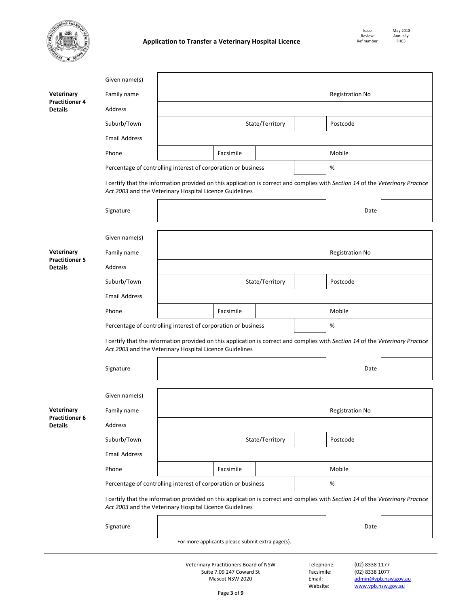

í,

|                                         | Given name(s)                                                                                                                                                                             |                                                                                                                                                                                           |           |                 |                 |        |                        |  |  |  |  |  |
|-----------------------------------------|-------------------------------------------------------------------------------------------------------------------------------------------------------------------------------------------|-------------------------------------------------------------------------------------------------------------------------------------------------------------------------------------------|-----------|-----------------|-----------------|--------|------------------------|--|--|--|--|--|
| Veterinary                              | Family name                                                                                                                                                                               |                                                                                                                                                                                           |           | Registration No |                 |        |                        |  |  |  |  |  |
| <b>Practitioner 4</b><br><b>Details</b> | Address                                                                                                                                                                                   |                                                                                                                                                                                           |           |                 |                 |        |                        |  |  |  |  |  |
|                                         | Suburb/Town                                                                                                                                                                               |                                                                                                                                                                                           |           |                 | State/Territory |        | Postcode               |  |  |  |  |  |
|                                         | <b>Email Address</b>                                                                                                                                                                      |                                                                                                                                                                                           |           |                 |                 |        |                        |  |  |  |  |  |
|                                         | Phone                                                                                                                                                                                     |                                                                                                                                                                                           | Facsimile |                 |                 |        | Mobile                 |  |  |  |  |  |
|                                         |                                                                                                                                                                                           | Percentage of controlling interest of corporation or business                                                                                                                             |           |                 |                 |        | $\%$                   |  |  |  |  |  |
|                                         | I certify that the information provided on this application is correct and complies with Section 14 of the Veterinary Practice<br>Act 2003 and the Veterinary Hospital Licence Guidelines |                                                                                                                                                                                           |           |                 |                 |        |                        |  |  |  |  |  |
|                                         | Signature                                                                                                                                                                                 |                                                                                                                                                                                           |           | Date            |                 |        |                        |  |  |  |  |  |
|                                         | Given name(s)                                                                                                                                                                             |                                                                                                                                                                                           |           |                 |                 |        |                        |  |  |  |  |  |
| Veterinary<br><b>Practitioner 5</b>     | Family name                                                                                                                                                                               |                                                                                                                                                                                           |           |                 | Registration No |        |                        |  |  |  |  |  |
| <b>Details</b>                          | Address                                                                                                                                                                                   |                                                                                                                                                                                           |           |                 |                 |        |                        |  |  |  |  |  |
|                                         | Suburb/Town                                                                                                                                                                               |                                                                                                                                                                                           |           |                 | State/Territory |        | Postcode               |  |  |  |  |  |
|                                         | <b>Email Address</b>                                                                                                                                                                      |                                                                                                                                                                                           |           |                 |                 |        |                        |  |  |  |  |  |
|                                         | Phone                                                                                                                                                                                     | Facsimile                                                                                                                                                                                 |           |                 |                 | Mobile |                        |  |  |  |  |  |
|                                         |                                                                                                                                                                                           | Percentage of controlling interest of corporation or business                                                                                                                             | $\%$      |                 |                 |        |                        |  |  |  |  |  |
|                                         | I certify that the information provided on this application is correct and complies with Section 14 of the Veterinary Practice<br>Act 2003 and the Veterinary Hospital Licence Guidelines |                                                                                                                                                                                           |           |                 |                 |        |                        |  |  |  |  |  |
|                                         | Signature                                                                                                                                                                                 |                                                                                                                                                                                           |           | Date            |                 |        |                        |  |  |  |  |  |
|                                         | Given name(s)                                                                                                                                                                             |                                                                                                                                                                                           |           |                 |                 |        |                        |  |  |  |  |  |
| Veterinary<br><b>Practitioner 6</b>     | Family name                                                                                                                                                                               |                                                                                                                                                                                           |           |                 |                 |        | <b>Registration No</b> |  |  |  |  |  |
| <b>Details</b>                          | Address                                                                                                                                                                                   |                                                                                                                                                                                           |           |                 |                 |        |                        |  |  |  |  |  |
|                                         | Suburb/Town                                                                                                                                                                               |                                                                                                                                                                                           |           | State/Territory |                 |        | Postcode               |  |  |  |  |  |
|                                         | <b>Email Address</b>                                                                                                                                                                      |                                                                                                                                                                                           |           |                 |                 |        |                        |  |  |  |  |  |
|                                         | Phone                                                                                                                                                                                     |                                                                                                                                                                                           | Facsimile |                 |                 |        | Mobile                 |  |  |  |  |  |
|                                         |                                                                                                                                                                                           | Percentage of controlling interest of corporation or business                                                                                                                             | $\%$      |                 |                 |        |                        |  |  |  |  |  |
|                                         |                                                                                                                                                                                           | I certify that the information provided on this application is correct and complies with Section 14 of the Veterinary Practice<br>Act 2003 and the Veterinary Hospital Licence Guidelines |           |                 |                 |        |                        |  |  |  |  |  |
|                                         | Signature                                                                                                                                                                                 |                                                                                                                                                                                           |           |                 |                 |        | Date                   |  |  |  |  |  |
|                                         |                                                                                                                                                                                           | For more applicants please submit extra page(s).                                                                                                                                          |           |                 |                 |        |                        |  |  |  |  |  |
|                                         |                                                                                                                                                                                           |                                                                                                                                                                                           |           |                 |                 |        |                        |  |  |  |  |  |

Page **3** of **9**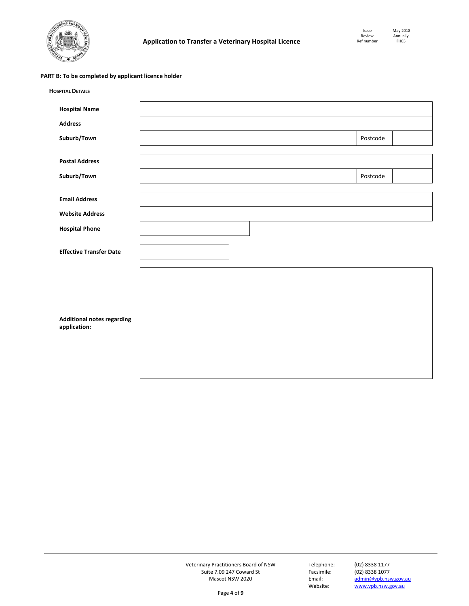

# **PART B: To be completed by applicant licence holder**

| <b>HOSPITAL DETAILS</b>                           |  |          |
|---------------------------------------------------|--|----------|
| <b>Hospital Name</b>                              |  |          |
| <b>Address</b>                                    |  |          |
| Suburb/Town                                       |  | Postcode |
|                                                   |  |          |
| <b>Postal Address</b>                             |  |          |
| Suburb/Town                                       |  | Postcode |
|                                                   |  |          |
| <b>Email Address</b>                              |  |          |
| <b>Website Address</b>                            |  |          |
| <b>Hospital Phone</b>                             |  |          |
| <b>Effective Transfer Date</b>                    |  |          |
| <b>Additional notes regarding</b><br>application: |  |          |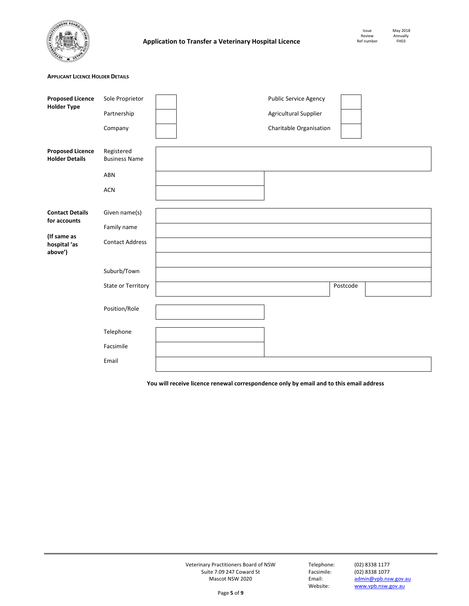

Annually<br>FH03

## **APPLICANT LICENCE HOLDER DETAILS**

| <b>Proposed Licence</b><br><b>Holder Type</b>    | Sole Proprietor                    |  | Public Service Agency   |          |  |
|--------------------------------------------------|------------------------------------|--|-------------------------|----------|--|
|                                                  | Partnership                        |  | Agricultural Supplier   |          |  |
|                                                  | Company                            |  | Charitable Organisation |          |  |
| <b>Proposed Licence</b><br><b>Holder Details</b> | Registered<br><b>Business Name</b> |  |                         |          |  |
|                                                  | ABN                                |  |                         |          |  |
|                                                  | <b>ACN</b>                         |  |                         |          |  |
| <b>Contact Details</b><br>for accounts           | Given name(s)                      |  |                         |          |  |
|                                                  | Family name                        |  |                         |          |  |
| (If same as<br>hospital 'as<br>above')           | <b>Contact Address</b>             |  |                         |          |  |
|                                                  |                                    |  |                         |          |  |
|                                                  | Suburb/Town                        |  |                         |          |  |
|                                                  | State or Territory                 |  |                         | Postcode |  |
|                                                  | Position/Role                      |  |                         |          |  |
|                                                  | Telephone                          |  |                         |          |  |
|                                                  | Facsimile                          |  |                         |          |  |
|                                                  | Email                              |  |                         |          |  |

**You will receive licence renewal correspondence only by email and to this email address** 

Veterinary Practitioners Board of NSW Telephone: (02) 8338 1177 Suite 7.09 247 Coward St Facsim<br>Mascot NSW 2020 1078 Email:

Email: admin@vpb.nsw.gov.au<br>Website: www.vpb.nsw.gov.au www.vpb.nsw.gov.au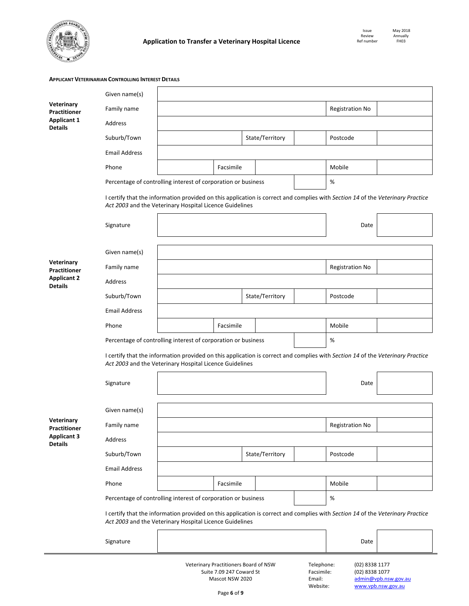

 $\blacksquare$ 

# **APPLICANT VETERINARIAN CONTROLLING INTEREST DETAILS**

|                                      | Given name(s)                                                                                                                                                                             |                                                                                                                                                                                           |           |                        |                        |  |          |  |  |  |
|--------------------------------------|-------------------------------------------------------------------------------------------------------------------------------------------------------------------------------------------|-------------------------------------------------------------------------------------------------------------------------------------------------------------------------------------------|-----------|------------------------|------------------------|--|----------|--|--|--|
| Veterinary<br><b>Practitioner</b>    | Family name                                                                                                                                                                               |                                                                                                                                                                                           |           | <b>Registration No</b> |                        |  |          |  |  |  |
| <b>Applicant 1</b><br><b>Details</b> | Address                                                                                                                                                                                   |                                                                                                                                                                                           |           |                        |                        |  |          |  |  |  |
|                                      | Suburb/Town                                                                                                                                                                               |                                                                                                                                                                                           |           |                        | State/Territory        |  | Postcode |  |  |  |
|                                      | <b>Email Address</b>                                                                                                                                                                      |                                                                                                                                                                                           |           |                        |                        |  |          |  |  |  |
|                                      | Phone                                                                                                                                                                                     |                                                                                                                                                                                           | Facsimile |                        |                        |  | Mobile   |  |  |  |
|                                      |                                                                                                                                                                                           | Percentage of controlling interest of corporation or business                                                                                                                             |           |                        |                        |  | %        |  |  |  |
|                                      |                                                                                                                                                                                           | I certify that the information provided on this application is correct and complies with Section 14 of the Veterinary Practice<br>Act 2003 and the Veterinary Hospital Licence Guidelines |           |                        |                        |  |          |  |  |  |
|                                      | Signature                                                                                                                                                                                 |                                                                                                                                                                                           |           | Date                   |                        |  |          |  |  |  |
|                                      | Given name(s)                                                                                                                                                                             |                                                                                                                                                                                           |           |                        |                        |  |          |  |  |  |
| Veterinary<br><b>Practitioner</b>    | Family name                                                                                                                                                                               |                                                                                                                                                                                           |           |                        | <b>Registration No</b> |  |          |  |  |  |
| <b>Applicant 2</b><br><b>Details</b> | Address                                                                                                                                                                                   |                                                                                                                                                                                           |           |                        |                        |  |          |  |  |  |
|                                      | Suburb/Town                                                                                                                                                                               | State/Territory                                                                                                                                                                           |           |                        |                        |  | Postcode |  |  |  |
|                                      | <b>Email Address</b>                                                                                                                                                                      |                                                                                                                                                                                           |           |                        |                        |  |          |  |  |  |
|                                      | Phone                                                                                                                                                                                     | Facsimile                                                                                                                                                                                 |           |                        |                        |  | Mobile   |  |  |  |
|                                      |                                                                                                                                                                                           | Percentage of controlling interest of corporation or business                                                                                                                             |           |                        |                        |  | $\%$     |  |  |  |
|                                      | I certify that the information provided on this application is correct and complies with Section 14 of the Veterinary Practice<br>Act 2003 and the Veterinary Hospital Licence Guidelines |                                                                                                                                                                                           |           |                        |                        |  |          |  |  |  |
|                                      | Signature                                                                                                                                                                                 |                                                                                                                                                                                           |           |                        |                        |  | Date     |  |  |  |
|                                      | Given name(s)                                                                                                                                                                             |                                                                                                                                                                                           |           |                        |                        |  |          |  |  |  |
| Veterinary<br>Practitioner           | Family name                                                                                                                                                                               |                                                                                                                                                                                           |           |                        | <b>Registration No</b> |  |          |  |  |  |
| <b>Applicant 3</b><br><b>Details</b> | Address                                                                                                                                                                                   |                                                                                                                                                                                           |           |                        |                        |  |          |  |  |  |
|                                      | Suburb/Town                                                                                                                                                                               |                                                                                                                                                                                           |           |                        | State/Territory        |  | Postcode |  |  |  |
|                                      | <b>Email Address</b>                                                                                                                                                                      |                                                                                                                                                                                           |           |                        |                        |  |          |  |  |  |
|                                      | Phone                                                                                                                                                                                     |                                                                                                                                                                                           | Facsimile |                        |                        |  | Mobile   |  |  |  |
|                                      |                                                                                                                                                                                           | Percentage of controlling interest of corporation or business                                                                                                                             |           |                        |                        |  | $\%$     |  |  |  |
|                                      |                                                                                                                                                                                           | I certify that the information provided on this application is correct and complies with Section 14 of the Veterinary Practice<br>Act 2003 and the Veterinary Hospital Licence Guidelines |           |                        |                        |  |          |  |  |  |
|                                      | Signature                                                                                                                                                                                 |                                                                                                                                                                                           |           |                        |                        |  | Date     |  |  |  |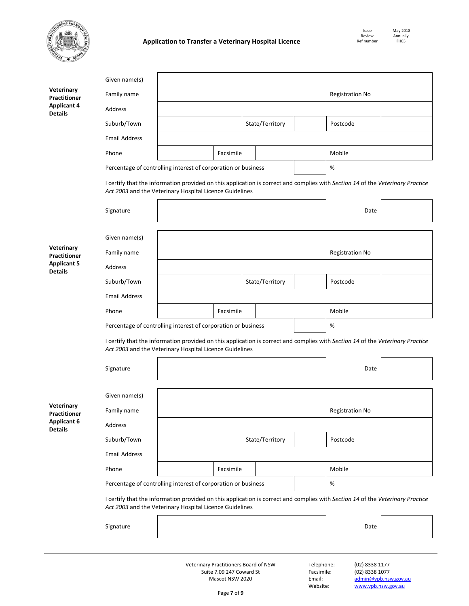

|                                      | Given name(s)                                                                                                                                                                             |                                                                                                                                                                                           |                        |                        |                 |          |                        |  |  |  |  |
|--------------------------------------|-------------------------------------------------------------------------------------------------------------------------------------------------------------------------------------------|-------------------------------------------------------------------------------------------------------------------------------------------------------------------------------------------|------------------------|------------------------|-----------------|----------|------------------------|--|--|--|--|
| Veterinary<br>Practitioner           | Family name                                                                                                                                                                               |                                                                                                                                                                                           |                        | <b>Registration No</b> |                 |          |                        |  |  |  |  |
| <b>Applicant 4</b><br><b>Details</b> | Address                                                                                                                                                                                   |                                                                                                                                                                                           |                        |                        |                 |          |                        |  |  |  |  |
|                                      | Suburb/Town                                                                                                                                                                               |                                                                                                                                                                                           |                        |                        | State/Territory |          | Postcode               |  |  |  |  |
|                                      | <b>Email Address</b>                                                                                                                                                                      |                                                                                                                                                                                           |                        |                        |                 |          |                        |  |  |  |  |
|                                      | Phone                                                                                                                                                                                     |                                                                                                                                                                                           | Facsimile              |                        |                 |          | Mobile                 |  |  |  |  |
|                                      |                                                                                                                                                                                           | Percentage of controlling interest of corporation or business                                                                                                                             |                        | %                      |                 |          |                        |  |  |  |  |
|                                      |                                                                                                                                                                                           | I certify that the information provided on this application is correct and complies with Section 14 of the Veterinary Practice<br>Act 2003 and the Veterinary Hospital Licence Guidelines |                        |                        |                 |          |                        |  |  |  |  |
|                                      | Signature                                                                                                                                                                                 |                                                                                                                                                                                           |                        |                        |                 |          | Date                   |  |  |  |  |
|                                      | Given name(s)                                                                                                                                                                             |                                                                                                                                                                                           |                        |                        |                 |          |                        |  |  |  |  |
| Veterinary<br><b>Practitioner</b>    | Family name                                                                                                                                                                               |                                                                                                                                                                                           | <b>Registration No</b> |                        |                 |          |                        |  |  |  |  |
| <b>Applicant 5</b><br><b>Details</b> | Address                                                                                                                                                                                   |                                                                                                                                                                                           |                        |                        |                 |          |                        |  |  |  |  |
|                                      | Suburb/Town                                                                                                                                                                               |                                                                                                                                                                                           |                        | State/Territory        |                 | Postcode |                        |  |  |  |  |
|                                      | <b>Email Address</b>                                                                                                                                                                      |                                                                                                                                                                                           |                        |                        |                 |          |                        |  |  |  |  |
|                                      | Phone                                                                                                                                                                                     |                                                                                                                                                                                           | Facsimile              |                        |                 |          | Mobile                 |  |  |  |  |
|                                      |                                                                                                                                                                                           | Percentage of controlling interest of corporation or business                                                                                                                             |                        |                        |                 |          | $\%$                   |  |  |  |  |
|                                      | I certify that the information provided on this application is correct and complies with Section 14 of the Veterinary Practice<br>Act 2003 and the Veterinary Hospital Licence Guidelines |                                                                                                                                                                                           |                        |                        |                 |          |                        |  |  |  |  |
|                                      | Signature                                                                                                                                                                                 |                                                                                                                                                                                           |                        |                        | Date            |          |                        |  |  |  |  |
|                                      | Given name(s)                                                                                                                                                                             |                                                                                                                                                                                           |                        |                        |                 |          |                        |  |  |  |  |
| Veterinary<br><b>Practitioner</b>    | Family name                                                                                                                                                                               |                                                                                                                                                                                           |                        |                        |                 |          | <b>Registration No</b> |  |  |  |  |
| <b>Applicant 6</b><br><b>Details</b> | Address                                                                                                                                                                                   |                                                                                                                                                                                           |                        |                        |                 |          |                        |  |  |  |  |
|                                      | Suburb/Town                                                                                                                                                                               |                                                                                                                                                                                           |                        |                        | State/Territory |          | Postcode               |  |  |  |  |
|                                      | <b>Email Address</b>                                                                                                                                                                      |                                                                                                                                                                                           |                        |                        |                 |          |                        |  |  |  |  |
|                                      | Phone                                                                                                                                                                                     |                                                                                                                                                                                           | Facsimile              |                        |                 |          | Mobile                 |  |  |  |  |
|                                      |                                                                                                                                                                                           | Percentage of controlling interest of corporation or business                                                                                                                             |                        | $\%$                   |                 |          |                        |  |  |  |  |
|                                      |                                                                                                                                                                                           | I certify that the information provided on this application is correct and complies with Section 14 of the Veterinary Practice<br>Act 2003 and the Veterinary Hospital Licence Guidelines |                        |                        |                 |          |                        |  |  |  |  |
|                                      | Signature                                                                                                                                                                                 |                                                                                                                                                                                           |                        |                        |                 |          | Date                   |  |  |  |  |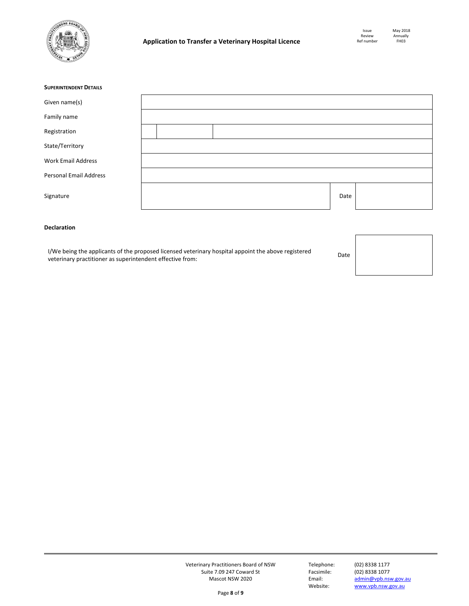

| <b>SUPERINTENDENT DETAILS</b> |  |  |      |  |
|-------------------------------|--|--|------|--|
| Given name(s)                 |  |  |      |  |
| Family name                   |  |  |      |  |
| Registration                  |  |  |      |  |
| State/Territory               |  |  |      |  |
| <b>Work Email Address</b>     |  |  |      |  |
| <b>Personal Email Address</b> |  |  |      |  |
| Signature                     |  |  | Date |  |

# **Declaration**

I/We being the applicants of the proposed licensed veterinary hospital appoint the above registered If we being the applicants of the proposed licensed veterinary hospital appoint the above registered **Date** Date<br>veterinary practitioner as superintendent effective from:

Veterinary Practitioners Board of NSW Telephone: (02) 8338 1177 Suite 7.09 247 Coward St Facsim<br>Mascot NSW 2020 Email: